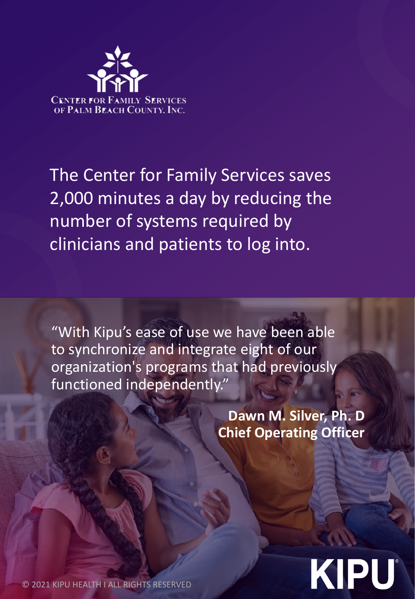

The Center for Family Services saves 2,000 minutes a day by reducing the number of systems required by clinicians and patients to log into.

"With Kipu's ease of use we have been able to synchronize and integrate eight of our organization's programs that had previously functioned independently."

> **Dawn M. Silver, Ph. D Chief Operating Officer**

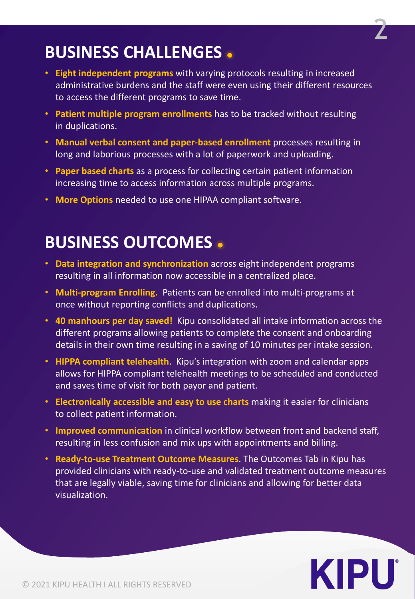

## **BUSINESS CHALLENGES**

- **Eight independent programs** with varying protocols resulting in increased administrative burdens and the staff were even using their different resources to access the different programs to save time.
- **Patient multiple program enrollments** has to be tracked without resulting in duplications.
- **Manual verbal consent and paper-based enrollment** processes resulting in long and laborious processes with a lot of paperwork and uploading.
- **Paper based charts** as a process for collecting certain patient information increasing time to access information across multiple programs.
- **More Options** needed to use one HIPAA compliant software.

## **BUSINESS OUTCOMES**

- **Data integration and synchronization** across eight independent programs resulting in all information now accessible in a centralized place.
- **Multi-program Enrolling.** Patients can be enrolled into multi-programs at once without reporting conflicts and duplications.
- **40 manhours per day saved!** Kipu consolidated all intake information across the different programs allowing patients to complete the consent and onboarding details in their own time resulting in a saving of 10 minutes per intake session.
- **HIPPA compliant telehealth**. Kipu's integration with zoom and calendar apps allows for HIPPA compliant telehealth meetings to be scheduled and conducted and saves time of visit for both payor and patient.
- **Electronically accessible and easy to use charts** making it easier for clinicians to collect patient information.
- **Improved communication** in clinical workflow between front and backend staff, resulting in less confusion and mix ups with appointments and billing.
- **Ready-to-use Treatment Outcome Measures**. The Outcomes Tab in Kipu has provided clinicians with ready-to-use and validated treatment outcome measures that are legally viable, saving time for clinicians and allowing for better data visualization.